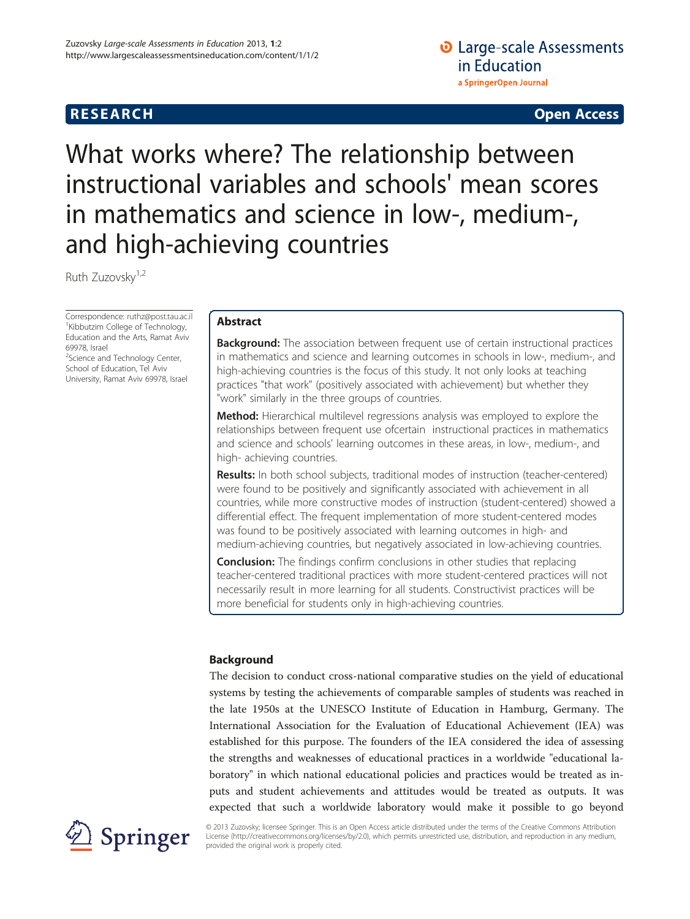# **RESEARCH CHINESE ARCH CHINESE ARCH CHINESE ARCH**

# *D* Large-scale Assessments in Education a SpringerOpen Journal

What works where? The relationship between instructional variables and schools' mean scores in mathematics and science in low-, medium-, and high-achieving countries

Ruth Zuzovsky<sup>1,2</sup>

Correspondence: [ruthz@post.tau.ac.il](mailto:ruthz@post.tau.ac.il) <sup>1</sup> <sup>1</sup>Kibbutzim College of Technology, Education and the Arts, Ramat Aviv 69978, Israel

<sup>2</sup>Science and Technology Center, School of Education, Tel Aviv University, Ramat Aviv 69978, Israel

# Abstract

**Background:** The association between frequent use of certain instructional practices in mathematics and science and learning outcomes in schools in low-, medium-, and high-achieving countries is the focus of this study. It not only looks at teaching practices "that work" (positively associated with achievement) but whether they "work" similarly in the three groups of countries.

Method: Hierarchical multilevel regressions analysis was employed to explore the relationships between frequent use ofcertain instructional practices in mathematics and science and schools' learning outcomes in these areas, in low-, medium-, and high- achieving countries.

Results: In both school subjects, traditional modes of instruction (teacher-centered) were found to be positively and significantly associated with achievement in all countries, while more constructive modes of instruction (student-centered) showed a differential effect. The frequent implementation of more student-centered modes was found to be positively associated with learning outcomes in high- and medium-achieving countries, but negatively associated in low-achieving countries.

**Conclusion:** The findings confirm conclusions in other studies that replacing teacher-centered traditional practices with more student-centered practices will not necessarily result in more learning for all students. Constructivist practices will be more beneficial for students only in high-achieving countries.

### Background

The decision to conduct cross-national comparative studies on the yield of educational systems by testing the achievements of comparable samples of students was reached in the late 1950s at the UNESCO Institute of Education in Hamburg, Germany. The International Association for the Evaluation of Educational Achievement (IEA) was established for this purpose. The founders of the IEA considered the idea of assessing the strengths and weaknesses of educational practices in a worldwide "educational laboratory" in which national educational policies and practices would be treated as inputs and student achievements and attitudes would be treated as outputs. It was expected that such a worldwide laboratory would make it possible to go beyond



© 2013 Zuzovsky; licensee Springer. This is an Open Access article distributed under the terms of the Creative Commons Attribution License [\(http://creativecommons.org/licenses/by/2.0\)](http://creativecommons.org/licenses/by/2.0), which permits unrestricted use, distribution, and reproduction in any medium, provided the original work is properly cited.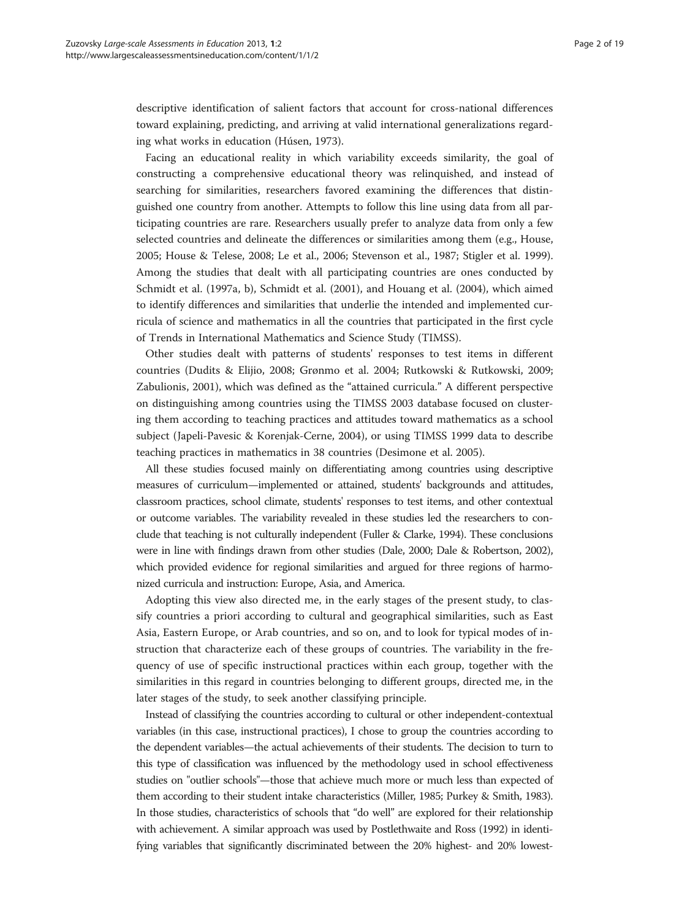descriptive identification of salient factors that account for cross-national differences toward explaining, predicting, and arriving at valid international generalizations regarding what works in education (Húsen, [1973\)](#page-17-0).

Facing an educational reality in which variability exceeds similarity, the goal of constructing a comprehensive educational theory was relinquished, and instead of searching for similarities, researchers favored examining the differences that distinguished one country from another. Attempts to follow this line using data from all participating countries are rare. Researchers usually prefer to analyze data from only a few selected countries and delineate the differences or similarities among them (e.g., House, [2005](#page-17-0); House & Telese, [2008](#page-17-0); Le et al., [2006](#page-17-0); Stevenson et al., [1987](#page-18-0); Stigler et al. [1999](#page-18-0)). Among the studies that dealt with all participating countries are ones conducted by Schmidt et al. [\(1997a](#page-17-0), [b\)](#page-17-0), Schmidt et al. [\(2001\)](#page-17-0), and Houang et al. ([2004\)](#page-17-0), which aimed to identify differences and similarities that underlie the intended and implemented curricula of science and mathematics in all the countries that participated in the first cycle of Trends in International Mathematics and Science Study (TIMSS).

Other studies dealt with patterns of students' responses to test items in different countries (Dudits & Elijio, [2008](#page-17-0); Grønmo et al. [2004](#page-17-0); Rutkowski & Rutkowski, [2009](#page-17-0); Zabulionis, [2001\)](#page-18-0), which was defined as the "attained curricula." A different perspective on distinguishing among countries using the TIMSS 2003 database focused on clustering them according to teaching practices and attitudes toward mathematics as a school subject (Japeli-Pavesic & Korenjak-Cerne, [2004\)](#page-17-0), or using TIMSS 1999 data to describe teaching practices in mathematics in 38 countries (Desimone et al. [2005](#page-16-0)).

All these studies focused mainly on differentiating among countries using descriptive measures of curriculum—implemented or attained, students' backgrounds and attitudes, classroom practices, school climate, students' responses to test items, and other contextual or outcome variables. The variability revealed in these studies led the researchers to conclude that teaching is not culturally independent (Fuller & Clarke, [1994\)](#page-17-0). These conclusions were in line with findings drawn from other studies (Dale, [2000;](#page-16-0) Dale & Robertson, [2002\)](#page-16-0), which provided evidence for regional similarities and argued for three regions of harmonized curricula and instruction: Europe, Asia, and America.

Adopting this view also directed me, in the early stages of the present study, to classify countries a priori according to cultural and geographical similarities, such as East Asia, Eastern Europe, or Arab countries, and so on, and to look for typical modes of instruction that characterize each of these groups of countries. The variability in the frequency of use of specific instructional practices within each group, together with the similarities in this regard in countries belonging to different groups, directed me, in the later stages of the study, to seek another classifying principle.

Instead of classifying the countries according to cultural or other independent-contextual variables (in this case, instructional practices), I chose to group the countries according to the dependent variables—the actual achievements of their students. The decision to turn to this type of classification was influenced by the methodology used in school effectiveness studies on "outlier schools"—those that achieve much more or much less than expected of them according to their student intake characteristics (Miller, [1985;](#page-17-0) Purkey & Smith, [1983](#page-17-0)). In those studies, characteristics of schools that "do well" are explored for their relationship with achievement. A similar approach was used by Postlethwaite and Ross ([1992](#page-17-0)) in identifying variables that significantly discriminated between the 20% highest- and 20% lowest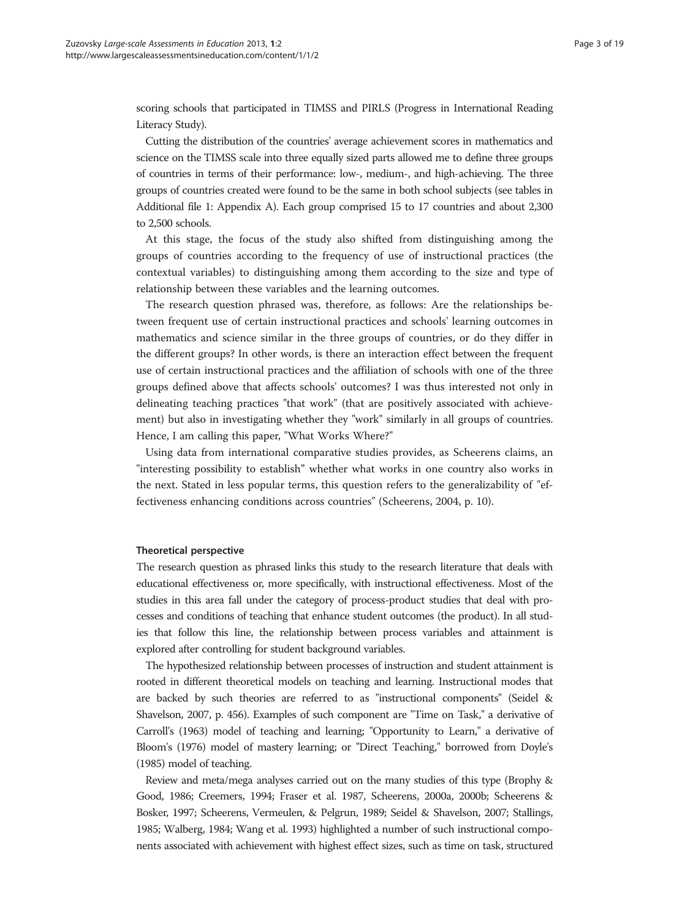scoring schools that participated in TIMSS and PIRLS (Progress in International Reading Literacy Study).

Cutting the distribution of the countries' average achievement scores in mathematics and science on the TIMSS scale into three equally sized parts allowed me to define three groups of countries in terms of their performance: low-, medium-, and high-achieving. The three groups of countries created were found to be the same in both school subjects (see tables in Additional file [1:](#page-16-0) Appendix A). Each group comprised 15 to 17 countries and about 2,300 to 2,500 schools.

At this stage, the focus of the study also shifted from distinguishing among the groups of countries according to the frequency of use of instructional practices (the contextual variables) to distinguishing among them according to the size and type of relationship between these variables and the learning outcomes.

The research question phrased was, therefore, as follows: Are the relationships between frequent use of certain instructional practices and schools' learning outcomes in mathematics and science similar in the three groups of countries, or do they differ in the different groups? In other words, is there an interaction effect between the frequent use of certain instructional practices and the affiliation of schools with one of the three groups defined above that affects schools' outcomes? I was thus interested not only in delineating teaching practices "that work" (that are positively associated with achievement) but also in investigating whether they "work" similarly in all groups of countries. Hence, I am calling this paper, "What Works Where?"

Using data from international comparative studies provides, as Scheerens claims, an "interesting possibility to establish" whether what works in one country also works in the next. Stated in less popular terms, this question refers to the generalizability of "effectiveness enhancing conditions across countries" (Scheerens, [2004,](#page-17-0) p. 10).

#### Theoretical perspective

The research question as phrased links this study to the research literature that deals with educational effectiveness or, more specifically, with instructional effectiveness. Most of the studies in this area fall under the category of process-product studies that deal with processes and conditions of teaching that enhance student outcomes (the product). In all studies that follow this line, the relationship between process variables and attainment is explored after controlling for student background variables.

The hypothesized relationship between processes of instruction and student attainment is rooted in different theoretical models on teaching and learning. Instructional modes that are backed by such theories are referred to as "instructional components" (Seidel & Shavelson, [2007](#page-17-0), p. 456). Examples of such component are "Time on Task," a derivative of Carroll's [\(1963](#page-16-0)) model of teaching and learning; "Opportunity to Learn," a derivative of Bloom's ([1976\)](#page-16-0) model of mastery learning; or "Direct Teaching," borrowed from Doyle's ([1985](#page-16-0)) model of teaching.

Review and meta/mega analyses carried out on the many studies of this type (Brophy & Good, [1986;](#page-16-0) Creemers, [1994;](#page-16-0) Fraser et al. [1987,](#page-17-0) Scheerens, [2000a, 2000b](#page-17-0); Scheerens & Bosker, [1997;](#page-17-0) Scheerens, Vermeulen, & Pelgrun, [1989;](#page-17-0) Seidel & Shavelson, [2007](#page-17-0); Stallings, [1985;](#page-18-0) Walberg, [1984;](#page-18-0) Wang et al. [1993](#page-18-0)) highlighted a number of such instructional components associated with achievement with highest effect sizes, such as time on task, structured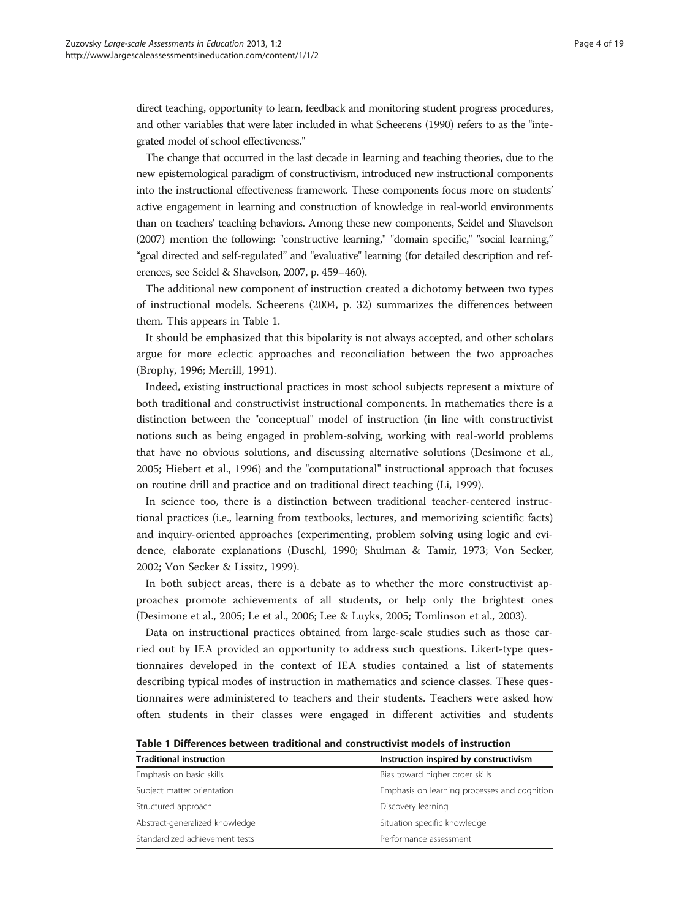direct teaching, opportunity to learn, feedback and monitoring student progress procedures, and other variables that were later included in what Scheerens [\(1990\)](#page-17-0) refers to as the "integrated model of school effectiveness."

The change that occurred in the last decade in learning and teaching theories, due to the new epistemological paradigm of constructivism, introduced new instructional components into the instructional effectiveness framework. These components focus more on students' active engagement in learning and construction of knowledge in real-world environments than on teachers' teaching behaviors. Among these new components, Seidel and Shavelson ([2007](#page-17-0)) mention the following: "constructive learning," "domain specific," "social learning," "goal directed and self-regulated" and "evaluative" learning (for detailed description and references, see Seidel & Shavelson, [2007,](#page-17-0) p. 459–460).

The additional new component of instruction created a dichotomy between two types of instructional models. Scheerens [\(2004,](#page-17-0) p. 32) summarizes the differences between them. This appears in Table 1.

It should be emphasized that this bipolarity is not always accepted, and other scholars argue for more eclectic approaches and reconciliation between the two approaches (Brophy, [1996](#page-16-0); Merrill, [1991](#page-17-0)).

Indeed, existing instructional practices in most school subjects represent a mixture of both traditional and constructivist instructional components. In mathematics there is a distinction between the "conceptual" model of instruction (in line with constructivist notions such as being engaged in problem-solving, working with real-world problems that have no obvious solutions, and discussing alternative solutions (Desimone et al., [2005](#page-16-0); Hiebert et al., [1996\)](#page-17-0) and the "computational" instructional approach that focuses on routine drill and practice and on traditional direct teaching (Li, [1999\)](#page-17-0).

In science too, there is a distinction between traditional teacher-centered instructional practices (i.e., learning from textbooks, lectures, and memorizing scientific facts) and inquiry-oriented approaches (experimenting, problem solving using logic and evidence, elaborate explanations (Duschl, [1990;](#page-17-0) Shulman & Tamir, [1973](#page-17-0); Von Secker, [2002](#page-18-0); Von Secker & Lissitz, [1999](#page-18-0)).

In both subject areas, there is a debate as to whether the more constructivist approaches promote achievements of all students, or help only the brightest ones (Desimone et al., [2005](#page-16-0); Le et al., [2006](#page-17-0); Lee & Luyks, [2005;](#page-17-0) Tomlinson et al., [2003\)](#page-18-0).

Data on instructional practices obtained from large-scale studies such as those carried out by IEA provided an opportunity to address such questions. Likert-type questionnaires developed in the context of IEA studies contained a list of statements describing typical modes of instruction in mathematics and science classes. These questionnaires were administered to teachers and their students. Teachers were asked how often students in their classes were engaged in different activities and students

Table 1 Differences between traditional and constructivist models of instruction

| <b>Traditional instruction</b> | Instruction inspired by constructivism       |
|--------------------------------|----------------------------------------------|
| Emphasis on basic skills       | Bias toward higher order skills              |
| Subject matter orientation     | Emphasis on learning processes and cognition |
| Structured approach            | Discovery learning                           |
| Abstract-generalized knowledge | Situation specific knowledge                 |
| Standardized achievement tests | Performance assessment                       |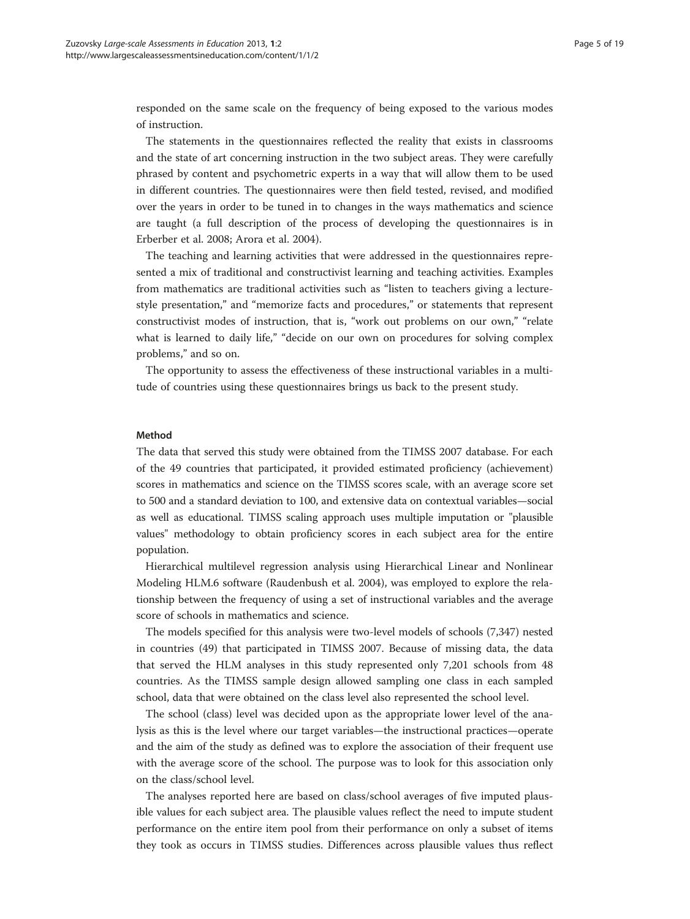responded on the same scale on the frequency of being exposed to the various modes of instruction.

The statements in the questionnaires reflected the reality that exists in classrooms and the state of art concerning instruction in the two subject areas. They were carefully phrased by content and psychometric experts in a way that will allow them to be used in different countries. The questionnaires were then field tested, revised, and modified over the years in order to be tuned in to changes in the ways mathematics and science are taught (a full description of the process of developing the questionnaires is in Erberber et al. [2008](#page-17-0); Arora et al. [2004](#page-16-0)).

The teaching and learning activities that were addressed in the questionnaires represented a mix of traditional and constructivist learning and teaching activities. Examples from mathematics are traditional activities such as "listen to teachers giving a lecturestyle presentation," and "memorize facts and procedures," or statements that represent constructivist modes of instruction, that is, "work out problems on our own," "relate what is learned to daily life," "decide on our own on procedures for solving complex problems," and so on.

The opportunity to assess the effectiveness of these instructional variables in a multitude of countries using these questionnaires brings us back to the present study.

### Method

The data that served this study were obtained from the TIMSS 2007 database. For each of the 49 countries that participated, it provided estimated proficiency (achievement) scores in mathematics and science on the TIMSS scores scale, with an average score set to 500 and a standard deviation to 100, and extensive data on contextual variables—social as well as educational. TIMSS scaling approach uses multiple imputation or "plausible values" methodology to obtain proficiency scores in each subject area for the entire population.

Hierarchical multilevel regression analysis using Hierarchical Linear and Nonlinear Modeling HLM.6 software (Raudenbush et al. [2004\)](#page-17-0), was employed to explore the relationship between the frequency of using a set of instructional variables and the average score of schools in mathematics and science.

The models specified for this analysis were two-level models of schools (7,347) nested in countries (49) that participated in TIMSS 2007. Because of missing data, the data that served the HLM analyses in this study represented only 7,201 schools from 48 countries. As the TIMSS sample design allowed sampling one class in each sampled school, data that were obtained on the class level also represented the school level.

The school (class) level was decided upon as the appropriate lower level of the analysis as this is the level where our target variables—the instructional practices—operate and the aim of the study as defined was to explore the association of their frequent use with the average score of the school. The purpose was to look for this association only on the class/school level.

The analyses reported here are based on class/school averages of five imputed plausible values for each subject area. The plausible values reflect the need to impute student performance on the entire item pool from their performance on only a subset of items they took as occurs in TIMSS studies. Differences across plausible values thus reflect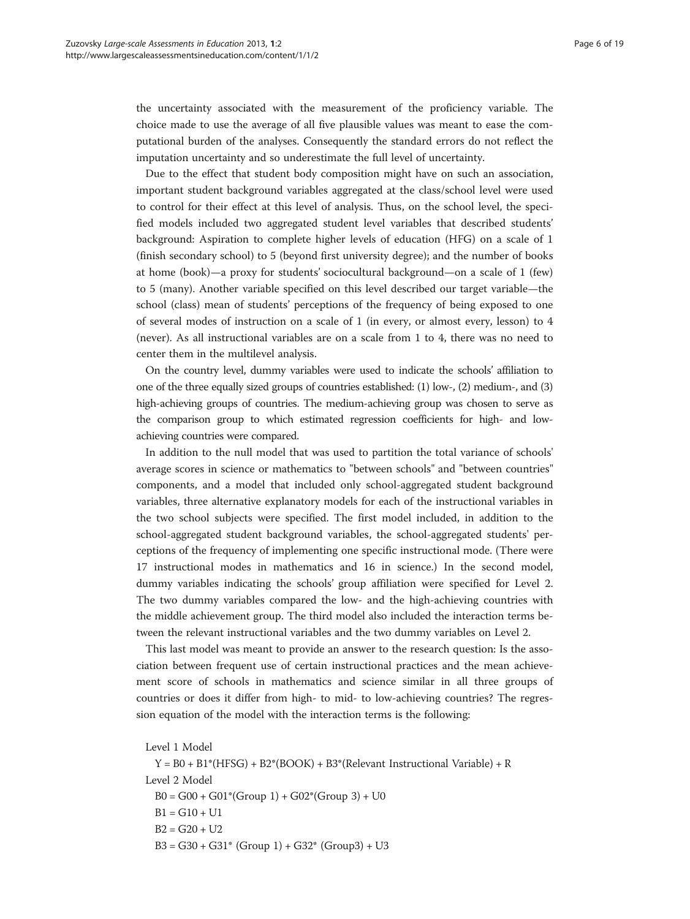the uncertainty associated with the measurement of the proficiency variable. The choice made to use the average of all five plausible values was meant to ease the computational burden of the analyses. Consequently the standard errors do not reflect the imputation uncertainty and so underestimate the full level of uncertainty.

Due to the effect that student body composition might have on such an association, important student background variables aggregated at the class/school level were used to control for their effect at this level of analysis. Thus, on the school level, the specified models included two aggregated student level variables that described students' background: Aspiration to complete higher levels of education (HFG) on a scale of 1 (finish secondary school) to 5 (beyond first university degree); and the number of books at home (book)—a proxy for students' sociocultural background—on a scale of 1 (few) to 5 (many). Another variable specified on this level described our target variable—the school (class) mean of students' perceptions of the frequency of being exposed to one of several modes of instruction on a scale of 1 (in every, or almost every, lesson) to 4 (never). As all instructional variables are on a scale from 1 to 4, there was no need to center them in the multilevel analysis.

On the country level, dummy variables were used to indicate the schools' affiliation to one of the three equally sized groups of countries established: (1) low-, (2) medium-, and (3) high-achieving groups of countries. The medium-achieving group was chosen to serve as the comparison group to which estimated regression coefficients for high- and lowachieving countries were compared.

In addition to the null model that was used to partition the total variance of schools' average scores in science or mathematics to "between schools" and "between countries" components, and a model that included only school-aggregated student background variables, three alternative explanatory models for each of the instructional variables in the two school subjects were specified. The first model included, in addition to the school-aggregated student background variables, the school-aggregated students' perceptions of the frequency of implementing one specific instructional mode. (There were 17 instructional modes in mathematics and 16 in science.) In the second model, dummy variables indicating the schools' group affiliation were specified for Level 2. The two dummy variables compared the low- and the high-achieving countries with the middle achievement group. The third model also included the interaction terms between the relevant instructional variables and the two dummy variables on Level 2.

This last model was meant to provide an answer to the research question: Is the association between frequent use of certain instructional practices and the mean achievement score of schools in mathematics and science similar in all three groups of countries or does it differ from high- to mid- to low-achieving countries? The regression equation of the model with the interaction terms is the following:

Level 1 Model  $Y = B0 + B1*(HFSG) + B2*(BOOK) + B3*(Relevant Instructional Variable) + R$ Level 2 Model  $B0 = G00 + G01*(Group 1) + G02*(Group 3) + U0$  $B1 = G10 + U1$  $B2 = G20 + U2$  $B3 = G30 + G31$ <sup>\*</sup> (Group 1) + G32<sup>\*</sup> (Group3) + U3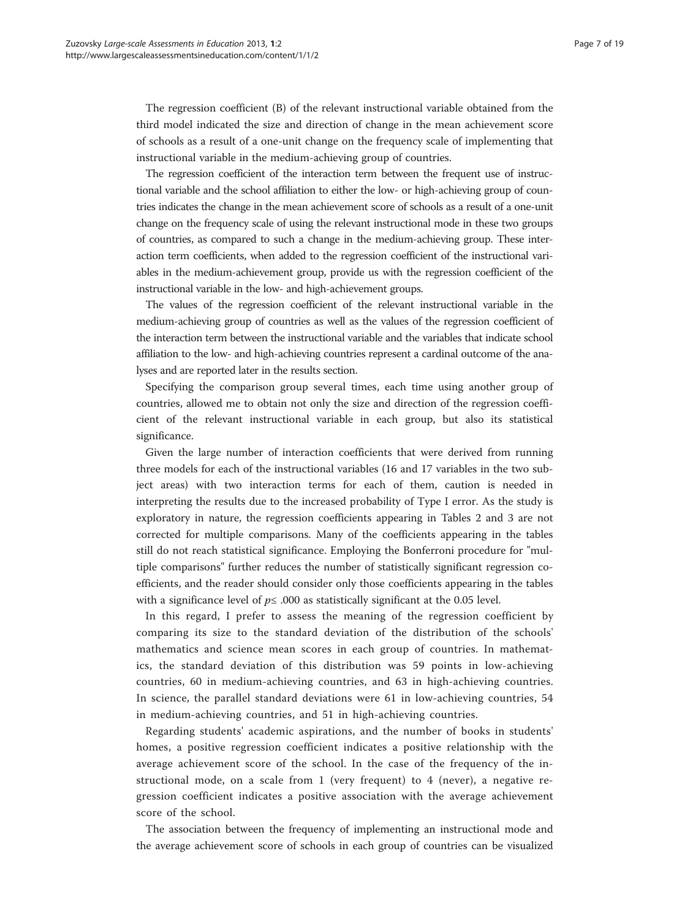The regression coefficient (B) of the relevant instructional variable obtained from the third model indicated the size and direction of change in the mean achievement score of schools as a result of a one-unit change on the frequency scale of implementing that instructional variable in the medium-achieving group of countries.

The regression coefficient of the interaction term between the frequent use of instructional variable and the school affiliation to either the low- or high-achieving group of countries indicates the change in the mean achievement score of schools as a result of a one-unit change on the frequency scale of using the relevant instructional mode in these two groups of countries, as compared to such a change in the medium-achieving group. These interaction term coefficients, when added to the regression coefficient of the instructional variables in the medium-achievement group, provide us with the regression coefficient of the instructional variable in the low- and high-achievement groups.

The values of the regression coefficient of the relevant instructional variable in the medium-achieving group of countries as well as the values of the regression coefficient of the interaction term between the instructional variable and the variables that indicate school affiliation to the low- and high-achieving countries represent a cardinal outcome of the analyses and are reported later in the results section.

Specifying the comparison group several times, each time using another group of countries, allowed me to obtain not only the size and direction of the regression coefficient of the relevant instructional variable in each group, but also its statistical significance.

Given the large number of interaction coefficients that were derived from running three models for each of the instructional variables (16 and 17 variables in the two subject areas) with two interaction terms for each of them, caution is needed in interpreting the results due to the increased probability of Type I error. As the study is exploratory in nature, the regression coefficients appearing in Tables [2](#page-7-0) and [3](#page-8-0) are not corrected for multiple comparisons. Many of the coefficients appearing in the tables still do not reach statistical significance. Employing the Bonferroni procedure for "multiple comparisons" further reduces the number of statistically significant regression coefficients, and the reader should consider only those coefficients appearing in the tables with a significance level of  $p \leq 0.00$  as statistically significant at the 0.05 level.

In this regard, I prefer to assess the meaning of the regression coefficient by comparing its size to the standard deviation of the distribution of the schools' mathematics and science mean scores in each group of countries. In mathematics, the standard deviation of this distribution was 59 points in low-achieving countries, 60 in medium-achieving countries, and 63 in high-achieving countries. In science, the parallel standard deviations were 61 in low-achieving countries, 54 in medium-achieving countries, and 51 in high-achieving countries.

Regarding students' academic aspirations, and the number of books in students' homes, a positive regression coefficient indicates a positive relationship with the average achievement score of the school. In the case of the frequency of the instructional mode, on a scale from 1 (very frequent) to 4 (never), a negative regression coefficient indicates a positive association with the average achievement score of the school.

The association between the frequency of implementing an instructional mode and the average achievement score of schools in each group of countries can be visualized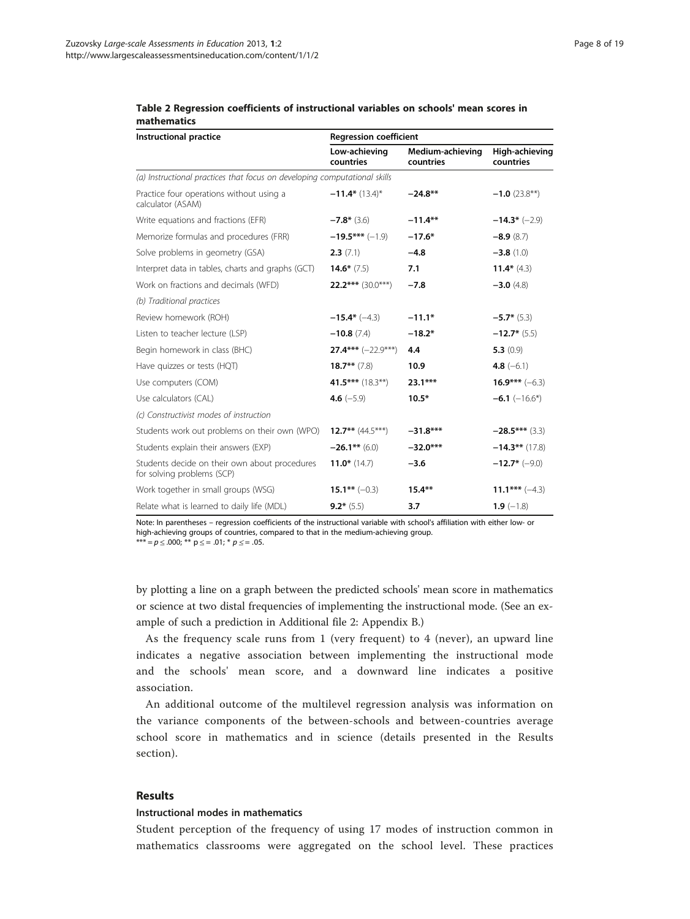| Instructional practice                                                      | <b>Regression coefficient</b> |                               |                             |  |
|-----------------------------------------------------------------------------|-------------------------------|-------------------------------|-----------------------------|--|
|                                                                             | Low-achieving<br>countries    | Medium-achieving<br>countries | High-achieving<br>countries |  |
| (a) Instructional practices that focus on developing computational skills   |                               |                               |                             |  |
| Practice four operations without using a<br>calculator (ASAM)               | $-11.4*$ (13.4) <sup>*</sup>  | $-24.8**$                     | $-1.0$ (23.8**)             |  |
| Write equations and fractions (EFR)                                         | $-7.8*(3.6)$                  | $-11.4**$                     | $-14.3*$ (-2.9)             |  |
| Memorize formulas and procedures (FRR)                                      | $-19.5***(-1.9)$              | $-17.6*$                      | $-8.9(8.7)$                 |  |
| Solve problems in geometry (GSA)                                            | 2.3(7.1)                      | $-4.8$                        | $-3.8(1.0)$                 |  |
| Interpret data in tables, charts and graphs (GCT)                           | $14.6*(7.5)$                  | 7.1                           | 11.4* $(4.3)$               |  |
| Work on fractions and decimals (WFD)                                        | $22.2***$ (30.0***)           | $-7.8$                        | $-3.0(4.8)$                 |  |
| (b) Traditional practices                                                   |                               |                               |                             |  |
| Review homework (ROH)                                                       | $-15.4*$ (-4.3)               | $-11.1*$                      | $-5.7*$ (5.3)               |  |
| Listen to teacher lecture (LSP)                                             | $-10.8(7.4)$                  | $-18.2*$                      | $-12.7$ * (5.5)             |  |
| Begin homework in class (BHC)                                               | $27.4*** (-22.9***)$          | 4.4                           | 5.3(0.9)                    |  |
| Have quizzes or tests (HQT)                                                 | $18.7**$ (7.8)                | 10.9                          | 4.8 $(-6.1)$                |  |
| Use computers (COM)                                                         | 41.5*** (18.3**)              | $23.1***$                     | $16.9*** (-6.3)$            |  |
| Use calculators (CAL)                                                       | 4.6 $(-5.9)$                  | $10.5*$                       | $-6.1$ ( $-16.6*$ )         |  |
| (c) Constructivist modes of instruction                                     |                               |                               |                             |  |
| Students work out problems on their own (WPO)                               | $12.7***$ (44.5***)           | $-31.8***$                    | $-28.5***$ (3.3)            |  |
| Students explain their answers (EXP)                                        | $-26.1**$ (6.0)               | $-32.0***$                    | $-14.3**$ (17.8)            |  |
| Students decide on their own about procedures<br>for solving problems (SCP) | $11.0*(14.7)$                 | $-3.6$                        | $-12.7$ * (-9.0)            |  |
| Work together in small groups (WSG)                                         | $15.1** (-0.3)$               | $15.4**$                      | $11.1*** (-4.3)$            |  |
| Relate what is learned to daily life (MDL)                                  | $9.2*$ (5.5)                  | 3.7                           | $1.9(-1.8)$                 |  |

<span id="page-7-0"></span>Table 2 Regression coefficients of instructional variables on schools' mean scores in mathematics

Note: In parentheses – regression coefficients of the instructional variable with school's affiliation with either low- or high-achieving groups of countries, compared to that in the medium-achieving group.

\*\*\* =  $p \le 0.000$ ; \*\*  $p \le 0.01$ ; \*  $p \le -0.05$ .

by plotting a line on a graph between the predicted schools' mean score in mathematics or science at two distal frequencies of implementing the instructional mode. (See an example of such a prediction in Additional file [2](#page-16-0): Appendix B.)

As the frequency scale runs from 1 (very frequent) to 4 (never), an upward line indicates a negative association between implementing the instructional mode and the schools' mean score, and a downward line indicates a positive association.

An additional outcome of the multilevel regression analysis was information on the variance components of the between-schools and between-countries average school score in mathematics and in science (details presented in the Results section).

### Results

### Instructional modes in mathematics

Student perception of the frequency of using 17 modes of instruction common in mathematics classrooms were aggregated on the school level. These practices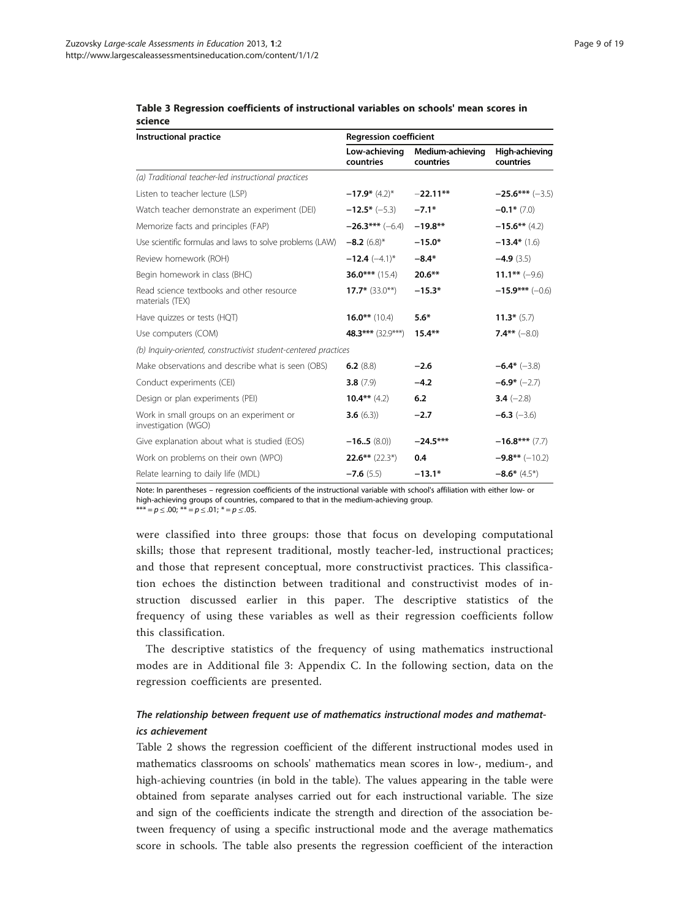| Instructional practice                                          | <b>Regression coefficient</b> |                               |                             |  |
|-----------------------------------------------------------------|-------------------------------|-------------------------------|-----------------------------|--|
|                                                                 | Low-achieving<br>countries    | Medium-achieving<br>countries | High-achieving<br>countries |  |
| (a) Traditional teacher-led instructional practices             |                               |                               |                             |  |
| Listen to teacher lecture (LSP)                                 | $-17.9*$ (4.2) <sup>*</sup>   | $-22.11**$                    | $-25.6***(-3.5)$            |  |
| Watch teacher demonstrate an experiment (DEI)                   | $-12.5*(-5.3)$                | $-7.1*$                       | $-0.1$ * (7.0)              |  |
| Memorize facts and principles (FAP)                             | $-26.3***(-6.4)$              | $-19.8**$                     | $-15.6**$ (4.2)             |  |
| Use scientific formulas and laws to solve problems (LAW)        | $-8.2~(6.8)$ *                | $-15.0*$                      | $-13.4*$ (1.6)              |  |
| Review homework (ROH)                                           | $-12.4(-4.1)^{*}$             |                               | $-4.9(3.5)$                 |  |
| Begin homework in class (BHC)                                   | 36.0*** $(15.4)$              | $20.6***$                     | $11.1***$ (-9.6)            |  |
| Read science textbooks and other resource<br>materials (TEX)    | $17.7* (33.0**)$              | $-15.3*$                      | $-15.9***(-0.6)$            |  |
| Have quizzes or tests (HQT)                                     | $16.0**$ (10.4)               | $5.6*$                        | $11.3*(5.7)$                |  |
| Use computers (COM)                                             | 48.3*** (32.9***)             | $15.4***$                     | 7.4** $(-8.0)$              |  |
| (b) Inquiry-oriented, constructivist student-centered practices |                               |                               |                             |  |
| Make observations and describe what is seen (OBS)               | 6.2 $(8.8)$                   | $-2.6$                        | $-6.4*$ (-3.8)              |  |
| Conduct experiments (CEI)                                       | 3.8(7.9)                      | $-4.2$                        | $-6.9*$ (-2.7)              |  |
| Design or plan experiments (PEI)                                | $10.4**$ (4.2)                | 6.2                           | <b>3.4</b> $(-2.8)$         |  |
| Work in small groups on an experiment or<br>investigation (WGO) | <b>3.6</b> $(6.3)$            | $-2.7$                        | $-6.3(-3.6)$                |  |
| Give explanation about what is studied (EOS)                    | $-16.5(8.0)$                  | $-24.5***$                    | $-16.8***$ (7.7)            |  |
| Work on problems on their own (WPO)                             | $22.6**$ (22.3*)              | 0.4                           | $-9.8**(-10.2)$             |  |
| Relate learning to daily life (MDL)                             | $-7.6(5.5)$                   | $-13.1*$                      | $-8.6*$ (4.5*)              |  |

<span id="page-8-0"></span>

|         |  | Table 3 Regression coefficients of instructional variables on schools' mean scores in |  |  |
|---------|--|---------------------------------------------------------------------------------------|--|--|
| science |  |                                                                                       |  |  |

Note: In parentheses – regression coefficients of the instructional variable with school's affiliation with either low- or high-achieving groups of countries, compared to that in the medium-achieving group.

\*\*\* =  $p \le 0.00$ ; \*\* =  $p \le 0.01$ ; \* =  $p \le 0.05$ .

were classified into three groups: those that focus on developing computational skills; those that represent traditional, mostly teacher-led, instructional practices; and those that represent conceptual, more constructivist practices. This classification echoes the distinction between traditional and constructivist modes of instruction discussed earlier in this paper. The descriptive statistics of the frequency of using these variables as well as their regression coefficients follow this classification.

The descriptive statistics of the frequency of using mathematics instructional modes are in Additional file [3:](#page-16-0) Appendix C. In the following section, data on the regression coefficients are presented.

# The relationship between frequent use of mathematics instructional modes and mathematics achievement

Table [2](#page-7-0) shows the regression coefficient of the different instructional modes used in mathematics classrooms on schools' mathematics mean scores in low-, medium-, and high-achieving countries (in bold in the table). The values appearing in the table were obtained from separate analyses carried out for each instructional variable. The size and sign of the coefficients indicate the strength and direction of the association between frequency of using a specific instructional mode and the average mathematics score in schools. The table also presents the regression coefficient of the interaction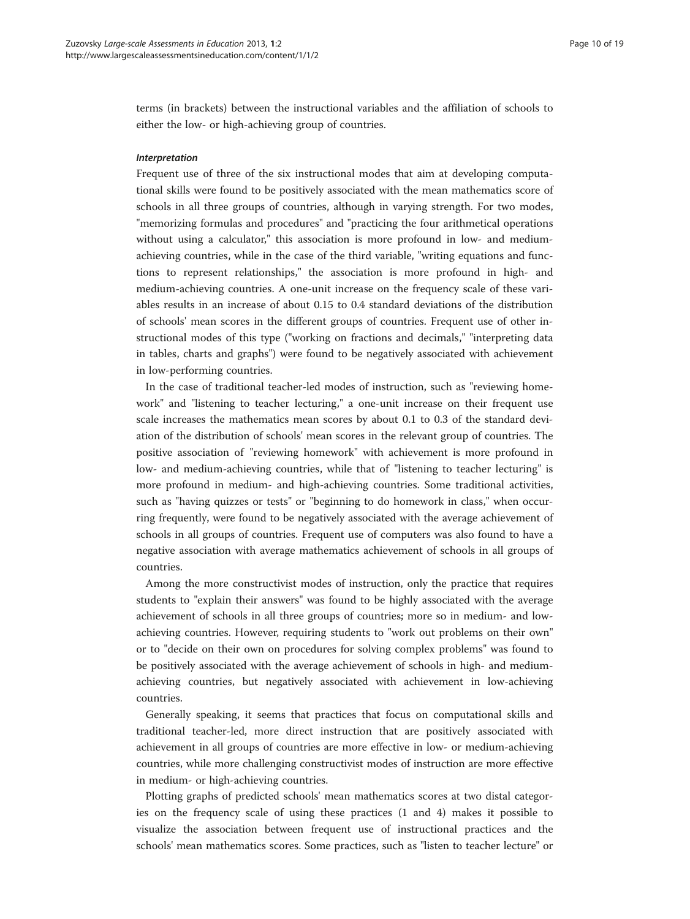terms (in brackets) between the instructional variables and the affiliation of schools to either the low- or high-achieving group of countries.

### Interpretation

Frequent use of three of the six instructional modes that aim at developing computational skills were found to be positively associated with the mean mathematics score of schools in all three groups of countries, although in varying strength. For two modes, "memorizing formulas and procedures" and "practicing the four arithmetical operations without using a calculator," this association is more profound in low- and mediumachieving countries, while in the case of the third variable, "writing equations and functions to represent relationships," the association is more profound in high- and medium-achieving countries. A one-unit increase on the frequency scale of these variables results in an increase of about 0.15 to 0.4 standard deviations of the distribution of schools' mean scores in the different groups of countries. Frequent use of other instructional modes of this type ("working on fractions and decimals," "interpreting data in tables, charts and graphs") were found to be negatively associated with achievement in low-performing countries.

In the case of traditional teacher-led modes of instruction, such as "reviewing homework" and "listening to teacher lecturing," a one-unit increase on their frequent use scale increases the mathematics mean scores by about 0.1 to 0.3 of the standard deviation of the distribution of schools' mean scores in the relevant group of countries. The positive association of "reviewing homework" with achievement is more profound in low- and medium-achieving countries, while that of "listening to teacher lecturing" is more profound in medium- and high-achieving countries. Some traditional activities, such as "having quizzes or tests" or "beginning to do homework in class," when occurring frequently, were found to be negatively associated with the average achievement of schools in all groups of countries. Frequent use of computers was also found to have a negative association with average mathematics achievement of schools in all groups of countries.

Among the more constructivist modes of instruction, only the practice that requires students to "explain their answers" was found to be highly associated with the average achievement of schools in all three groups of countries; more so in medium- and lowachieving countries. However, requiring students to "work out problems on their own" or to "decide on their own on procedures for solving complex problems" was found to be positively associated with the average achievement of schools in high- and mediumachieving countries, but negatively associated with achievement in low-achieving countries.

Generally speaking, it seems that practices that focus on computational skills and traditional teacher-led, more direct instruction that are positively associated with achievement in all groups of countries are more effective in low- or medium-achieving countries, while more challenging constructivist modes of instruction are more effective in medium- or high-achieving countries.

Plotting graphs of predicted schools' mean mathematics scores at two distal categories on the frequency scale of using these practices (1 and 4) makes it possible to visualize the association between frequent use of instructional practices and the schools' mean mathematics scores. Some practices, such as "listen to teacher lecture" or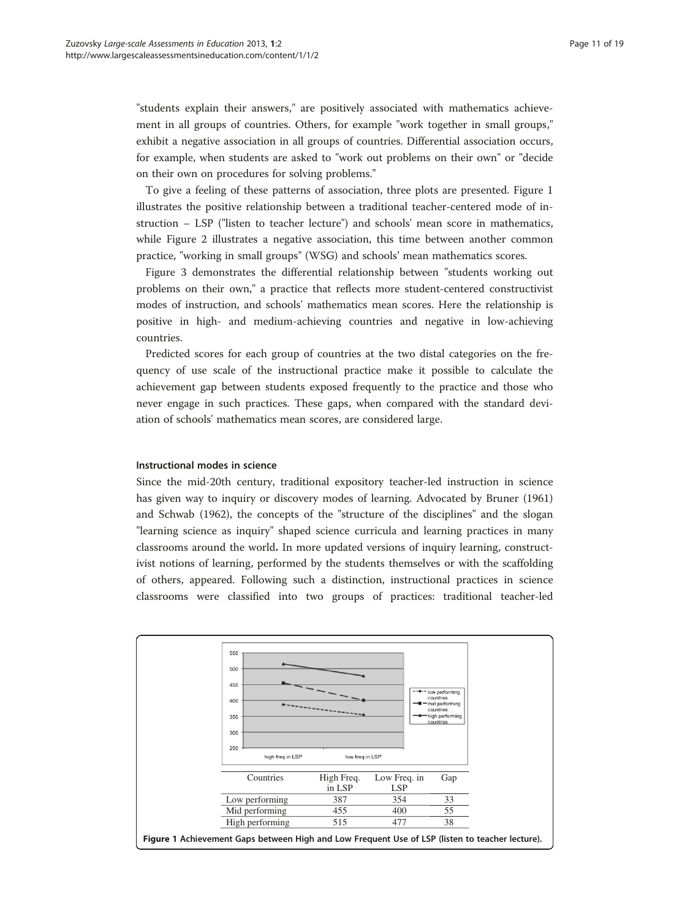"students explain their answers," are positively associated with mathematics achievement in all groups of countries. Others, for example "work together in small groups," exhibit a negative association in all groups of countries. Differential association occurs, for example, when students are asked to "work out problems on their own" or "decide on their own on procedures for solving problems."

To give a feeling of these patterns of association, three plots are presented. Figure 1 illustrates the positive relationship between a traditional teacher-centered mode of instruction – LSP ("listen to teacher lecture") and schools' mean score in mathematics, while Figure [2](#page-11-0) illustrates a negative association, this time between another common practice, "working in small groups" (WSG) and schools' mean mathematics scores.

Figure [3](#page-11-0) demonstrates the differential relationship between "students working out problems on their own," a practice that reflects more student-centered constructivist modes of instruction, and schools' mathematics mean scores. Here the relationship is positive in high- and medium-achieving countries and negative in low-achieving countries.

Predicted scores for each group of countries at the two distal categories on the frequency of use scale of the instructional practice make it possible to calculate the achievement gap between students exposed frequently to the practice and those who never engage in such practices. These gaps, when compared with the standard deviation of schools' mathematics mean scores, are considered large.

### Instructional modes in science

Since the mid-20th century, traditional expository teacher-led instruction in science has given way to inquiry or discovery modes of learning. Advocated by Bruner ([1961](#page-16-0)) and Schwab ([1962](#page-17-0)), the concepts of the "structure of the disciplines" and the slogan "learning science as inquiry" shaped science curricula and learning practices in many classrooms around the world. In more updated versions of inquiry learning, constructivist notions of learning, performed by the students themselves or with the scaffolding of others, appeared. Following such a distinction, instructional practices in science classrooms were classified into two groups of practices: traditional teacher-led

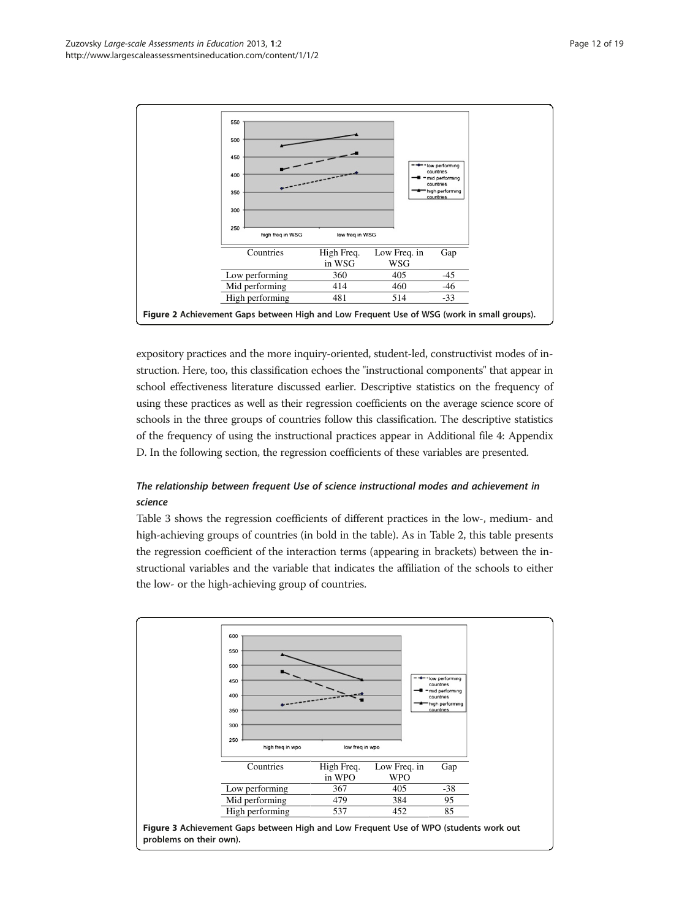<span id="page-11-0"></span>

expository practices and the more inquiry-oriented, student-led, constructivist modes of instruction. Here, too, this classification echoes the "instructional components" that appear in school effectiveness literature discussed earlier. Descriptive statistics on the frequency of using these practices as well as their regression coefficients on the average science score of schools in the three groups of countries follow this classification. The descriptive statistics of the frequency of using the instructional practices appear in Additional file [4:](#page-16-0) Appendix D. In the following section, the regression coefficients of these variables are presented.

# The relationship between frequent Use of science instructional modes and achievement in science

Table [3](#page-8-0) shows the regression coefficients of different practices in the low-, medium- and high-achieving groups of countries (in bold in the table). As in Table [2](#page-7-0), this table presents the regression coefficient of the interaction terms (appearing in brackets) between the instructional variables and the variable that indicates the affiliation of the schools to either the low- or the high-achieving group of countries.

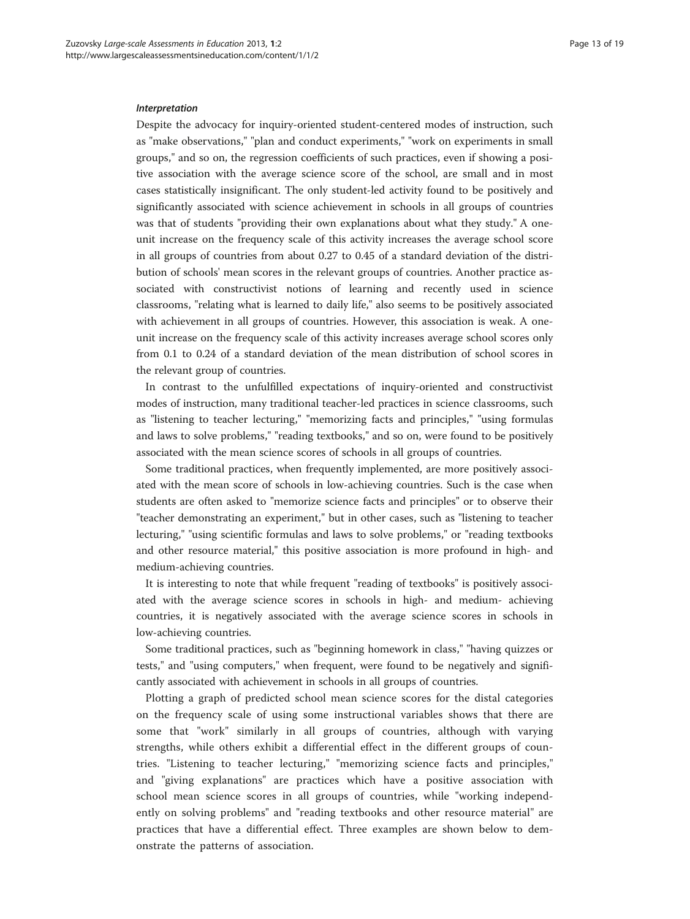### Interpretation

Despite the advocacy for inquiry-oriented student-centered modes of instruction, such as "make observations," "plan and conduct experiments," "work on experiments in small groups," and so on, the regression coefficients of such practices, even if showing a positive association with the average science score of the school, are small and in most cases statistically insignificant. The only student-led activity found to be positively and significantly associated with science achievement in schools in all groups of countries was that of students "providing their own explanations about what they study." A oneunit increase on the frequency scale of this activity increases the average school score in all groups of countries from about 0.27 to 0.45 of a standard deviation of the distribution of schools' mean scores in the relevant groups of countries. Another practice associated with constructivist notions of learning and recently used in science classrooms, "relating what is learned to daily life," also seems to be positively associated with achievement in all groups of countries. However, this association is weak. A oneunit increase on the frequency scale of this activity increases average school scores only from 0.1 to 0.24 of a standard deviation of the mean distribution of school scores in the relevant group of countries.

In contrast to the unfulfilled expectations of inquiry-oriented and constructivist modes of instruction, many traditional teacher-led practices in science classrooms, such as "listening to teacher lecturing," "memorizing facts and principles," "using formulas and laws to solve problems," "reading textbooks," and so on, were found to be positively associated with the mean science scores of schools in all groups of countries.

Some traditional practices, when frequently implemented, are more positively associated with the mean score of schools in low-achieving countries. Such is the case when students are often asked to "memorize science facts and principles" or to observe their "teacher demonstrating an experiment," but in other cases, such as "listening to teacher lecturing," "using scientific formulas and laws to solve problems," or "reading textbooks and other resource material," this positive association is more profound in high- and medium-achieving countries.

It is interesting to note that while frequent "reading of textbooks" is positively associated with the average science scores in schools in high- and medium- achieving countries, it is negatively associated with the average science scores in schools in low-achieving countries.

Some traditional practices, such as "beginning homework in class," "having quizzes or tests," and "using computers," when frequent, were found to be negatively and significantly associated with achievement in schools in all groups of countries.

Plotting a graph of predicted school mean science scores for the distal categories on the frequency scale of using some instructional variables shows that there are some that "work" similarly in all groups of countries, although with varying strengths, while others exhibit a differential effect in the different groups of countries. "Listening to teacher lecturing," "memorizing science facts and principles," and "giving explanations" are practices which have a positive association with school mean science scores in all groups of countries, while "working independently on solving problems" and "reading textbooks and other resource material" are practices that have a differential effect. Three examples are shown below to demonstrate the patterns of association.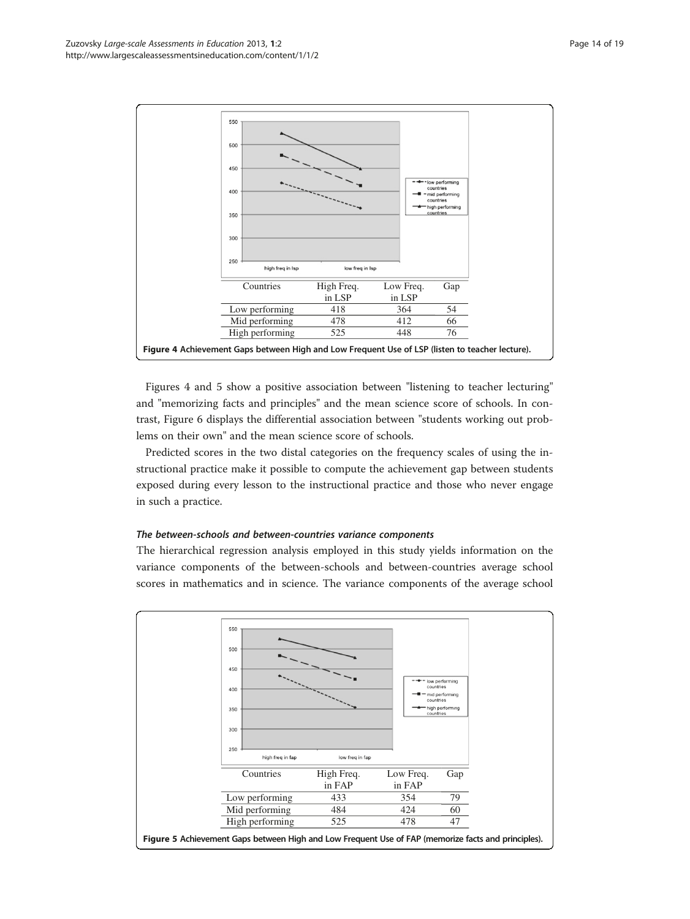

Figures 4 and 5 show a positive association between "listening to teacher lecturing" and "memorizing facts and principles" and the mean science score of schools. In contrast, Figure [6](#page-14-0) displays the differential association between "students working out problems on their own" and the mean science score of schools.

Predicted scores in the two distal categories on the frequency scales of using the instructional practice make it possible to compute the achievement gap between students exposed during every lesson to the instructional practice and those who never engage in such a practice.

### The between-schools and between-countries variance components

The hierarchical regression analysis employed in this study yields information on the variance components of the between-schools and between-countries average school scores in mathematics and in science. The variance components of the average school

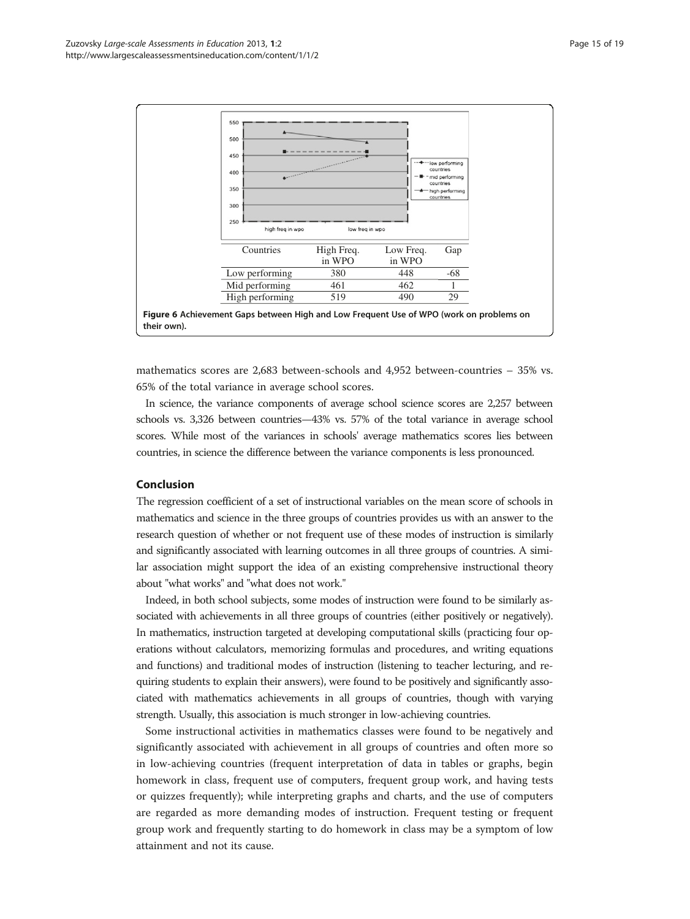<span id="page-14-0"></span>

mathematics scores are 2,683 between-schools and 4,952 between-countries – 35% vs. 65% of the total variance in average school scores.

In science, the variance components of average school science scores are 2,257 between schools vs. 3,326 between countries—43% vs. 57% of the total variance in average school scores. While most of the variances in schools' average mathematics scores lies between countries, in science the difference between the variance components is less pronounced.

### Conclusion

The regression coefficient of a set of instructional variables on the mean score of schools in mathematics and science in the three groups of countries provides us with an answer to the research question of whether or not frequent use of these modes of instruction is similarly and significantly associated with learning outcomes in all three groups of countries. A similar association might support the idea of an existing comprehensive instructional theory about "what works" and "what does not work."

Indeed, in both school subjects, some modes of instruction were found to be similarly associated with achievements in all three groups of countries (either positively or negatively). In mathematics, instruction targeted at developing computational skills (practicing four operations without calculators, memorizing formulas and procedures, and writing equations and functions) and traditional modes of instruction (listening to teacher lecturing, and requiring students to explain their answers), were found to be positively and significantly associated with mathematics achievements in all groups of countries, though with varying strength. Usually, this association is much stronger in low-achieving countries.

Some instructional activities in mathematics classes were found to be negatively and significantly associated with achievement in all groups of countries and often more so in low-achieving countries (frequent interpretation of data in tables or graphs, begin homework in class, frequent use of computers, frequent group work, and having tests or quizzes frequently); while interpreting graphs and charts, and the use of computers are regarded as more demanding modes of instruction. Frequent testing or frequent group work and frequently starting to do homework in class may be a symptom of low attainment and not its cause.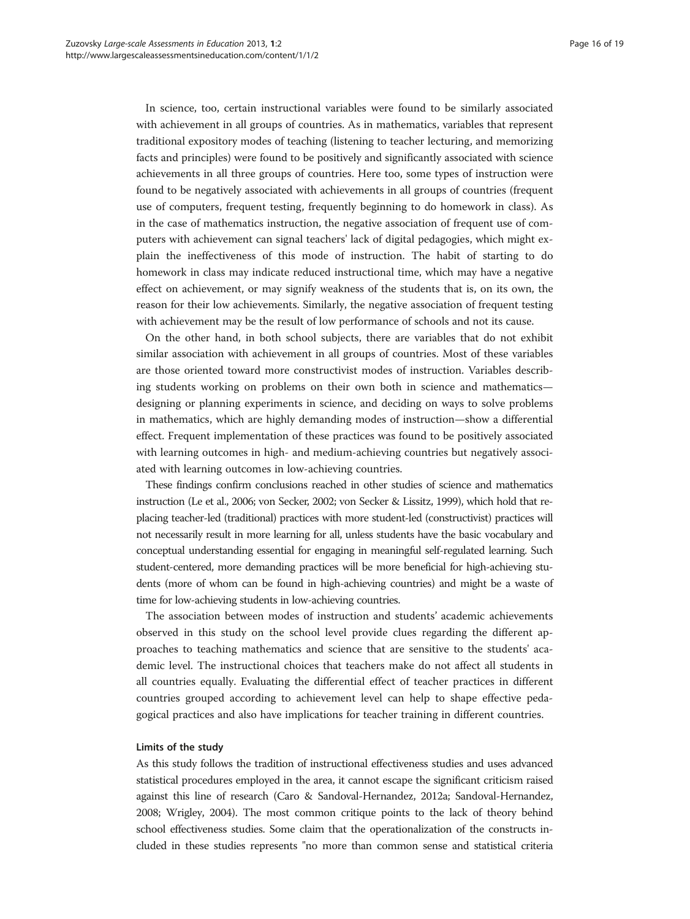In science, too, certain instructional variables were found to be similarly associated with achievement in all groups of countries. As in mathematics, variables that represent traditional expository modes of teaching (listening to teacher lecturing, and memorizing facts and principles) were found to be positively and significantly associated with science achievements in all three groups of countries. Here too, some types of instruction were found to be negatively associated with achievements in all groups of countries (frequent use of computers, frequent testing, frequently beginning to do homework in class). As in the case of mathematics instruction, the negative association of frequent use of computers with achievement can signal teachers' lack of digital pedagogies, which might explain the ineffectiveness of this mode of instruction. The habit of starting to do homework in class may indicate reduced instructional time, which may have a negative effect on achievement, or may signify weakness of the students that is, on its own, the reason for their low achievements. Similarly, the negative association of frequent testing with achievement may be the result of low performance of schools and not its cause.

On the other hand, in both school subjects, there are variables that do not exhibit similar association with achievement in all groups of countries. Most of these variables are those oriented toward more constructivist modes of instruction. Variables describing students working on problems on their own both in science and mathematics designing or planning experiments in science, and deciding on ways to solve problems in mathematics, which are highly demanding modes of instruction—show a differential effect. Frequent implementation of these practices was found to be positively associated with learning outcomes in high- and medium-achieving countries but negatively associated with learning outcomes in low-achieving countries.

These findings confirm conclusions reached in other studies of science and mathematics instruction (Le et al., [2006;](#page-17-0) von Secker, [2002](#page-18-0); von Secker & Lissitz, [1999](#page-18-0)), which hold that replacing teacher-led (traditional) practices with more student-led (constructivist) practices will not necessarily result in more learning for all, unless students have the basic vocabulary and conceptual understanding essential for engaging in meaningful self-regulated learning. Such student-centered, more demanding practices will be more beneficial for high-achieving students (more of whom can be found in high-achieving countries) and might be a waste of time for low-achieving students in low-achieving countries.

The association between modes of instruction and students' academic achievements observed in this study on the school level provide clues regarding the different approaches to teaching mathematics and science that are sensitive to the students' academic level. The instructional choices that teachers make do not affect all students in all countries equally. Evaluating the differential effect of teacher practices in different countries grouped according to achievement level can help to shape effective pedagogical practices and also have implications for teacher training in different countries.

### Limits of the study

As this study follows the tradition of instructional effectiveness studies and uses advanced statistical procedures employed in the area, it cannot escape the significant criticism raised against this line of research (Caro & Sandoval-Hernandez, [2012a;](#page-16-0) Sandoval-Hernandez, [2008;](#page-17-0) Wrigley, [2004](#page-18-0)). The most common critique points to the lack of theory behind school effectiveness studies. Some claim that the operationalization of the constructs included in these studies represents "no more than common sense and statistical criteria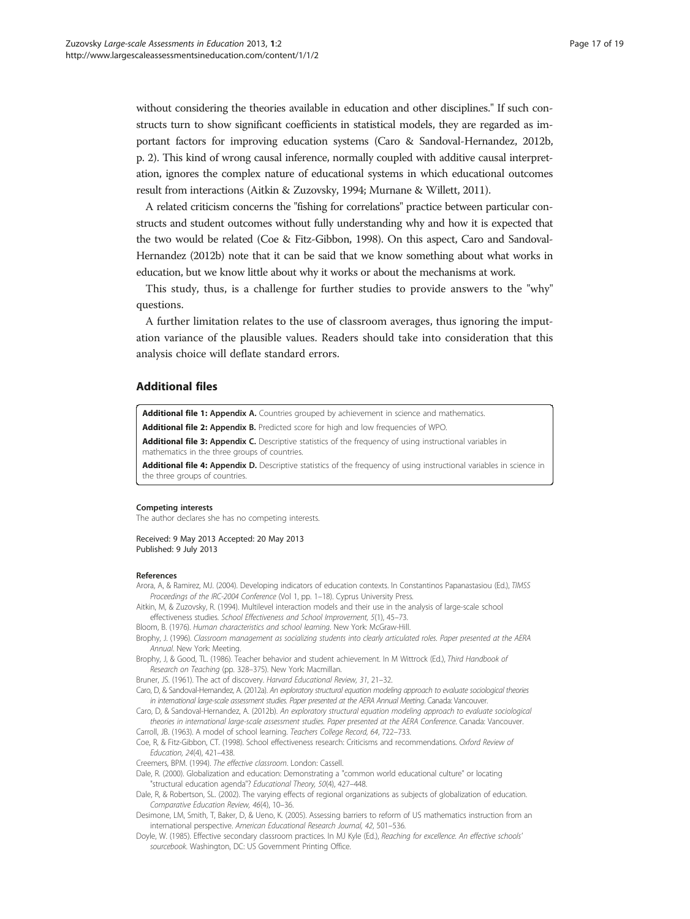<span id="page-16-0"></span>without considering the theories available in education and other disciplines." If such constructs turn to show significant coefficients in statistical models, they are regarded as important factors for improving education systems (Caro & Sandoval-Hernandez, 2012b, p. 2). This kind of wrong causal inference, normally coupled with additive causal interpretation, ignores the complex nature of educational systems in which educational outcomes result from interactions (Aitkin & Zuzovsky, 1994; Murnane & Willett, [2011\)](#page-17-0).

A related criticism concerns the "fishing for correlations" practice between particular constructs and student outcomes without fully understanding why and how it is expected that the two would be related (Coe & Fitz-Gibbon, 1998). On this aspect, Caro and Sandoval-Hernandez (2012b) note that it can be said that we know something about what works in education, but we know little about why it works or about the mechanisms at work.

This study, thus, is a challenge for further studies to provide answers to the "why" questions.

A further limitation relates to the use of classroom averages, thus ignoring the imputation variance of the plausible values. Readers should take into consideration that this analysis choice will deflate standard errors.

### Additional files

[Additional file 1:](http://www.biomedcentral.com/content/supplementary/2196-0739-1-2-S1.doc) Appendix A. Countries grouped by achievement in science and mathematics.

[Additional file 2:](http://www.biomedcentral.com/content/supplementary/2196-0739-1-2-S2.doc) Appendix B. Predicted score for high and low frequencies of WPO.

[Additional file 3:](http://www.biomedcentral.com/content/supplementary/2196-0739-1-2-S3.doc) Appendix C. Descriptive statistics of the frequency of using instructional variables in mathematics in the three groups of countries.

[Additional file 4:](http://www.biomedcentral.com/content/supplementary/2196-0739-1-2-S4.doc) Appendix D. Descriptive statistics of the frequency of using instructional variables in science in the three groups of countries.

#### Competing interests

The author declares she has no competing interests.

#### Received: 9 May 2013 Accepted: 20 May 2013 Published: 9 July 2013

#### References

Arora, A, & Ramirez, MJ. (2004). Developing indicators of education contexts. In Constantinos Papanastasiou (Ed.), TIMSS Proceedings of the IRC-2004 Conference (Vol 1, pp. 1–18). Cyprus University Press.

Aitkin, M, & Zuzovsky, R. (1994). Multilevel interaction models and their use in the analysis of large-scale school effectiveness studies. School Effectiveness and School Improvement, 5(1), 45–73.

- Bloom, B. (1976). Human characteristics and school learning. New York: McGraw-Hill.
- Brophy, J. (1996). Classroom management as socializing students into clearly articulated roles. Paper presented at the AERA Annual. New York: Meeting.
- Brophy, J, & Good, TL. (1986). Teacher behavior and student achievement. In M Wittrock (Ed.), Third Handbook of Research on Teaching (pp. 328–375). New York: Macmillan.

Bruner, JS. (1961). The act of discovery. Harvard Educational Review, 31, 21–32.

- Caro, D, & Sandoval-Hernandez, A. (2012a). An exploratory structural equation modeling approach to evaluate sociological theories in international large-scale assessment studies. Paper presented at the AERA Annual Meeting. Canada: Vancouver.
- Caro, D, & Sandoval-Hernandez, A. (2012b). An exploratory structural equation modeling approach to evaluate sociological theories in international large-scale assessment studies. Paper presented at the AERA Conference. Canada: Vancouver. Carroll, JB. (1963). A model of school learning. Teachers College Record, 64, 722–733.

Coe, R, & Fitz-Gibbon, CT. (1998). School effectiveness research: Criticisms and recommendations. Oxford Review of Education, 24(4), 421–438.

Creemers, BPM. (1994). The effective classroom. London: Cassell. Dale, R. (2000). Globalization and education: Demonstrating a "common world educational culture" or locating "structural education agenda"? Educational Theory, 50(4), 427–448.

- Dale, R, & Robertson, SL. (2002). The varying effects of regional organizations as subjects of globalization of education. Comparative Education Review, 46(4), 10–36.
- Desimone, LM, Smith, T, Baker, D, & Ueno, K. (2005). Assessing barriers to reform of US mathematics instruction from an international perspective. American Educational Research Journal, 42, 501–536.
- Doyle, W. (1985). Effective secondary classroom practices. In MJ Kyle (Ed.), Reaching for excellence. An effective schools' sourcebook. Washington, DC: US Government Printing Office.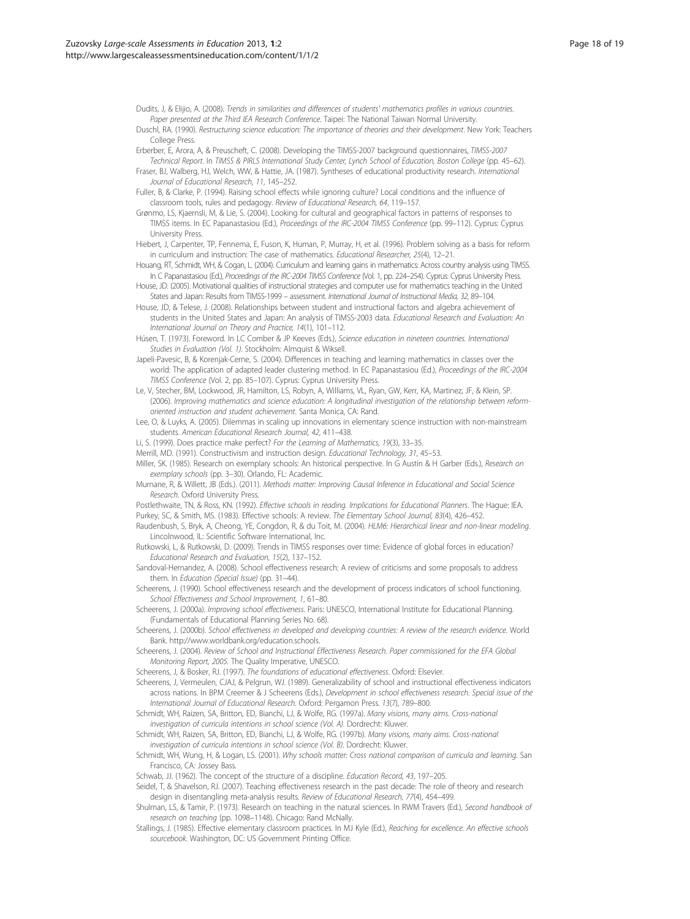<span id="page-17-0"></span>Dudits, J, & Elijio, A. (2008). Trends in similarities and differences of students' mathematics profiles in various countries. Paper presented at the Third IEA Research Conference. Taipei: The National Taiwan Normal University. Duschl, RA. (1990). Restructuring science education: The importance of theories and their development. New York: Teachers

- College Press. Erberber, E, Arora, A, & Preuscheft, C. (2008). Developing the TIMSS-2007 background questionnaires, TIMSS-2007
- Technical Report. In TIMSS & PIRLS International Study Center, Lynch School of Education, Boston College (pp. 45–62).
- Fraser, BJ, Walberg, HJ, Welch, WW, & Hattie, JA. (1987). Syntheses of educational productivity research. International Journal of Educational Research, 11, 145–252.
- Fuller, B, & Clarke, P. (1994). Raising school effects while ignoring culture? Local conditions and the influence of classroom tools, rules and pedagogy. Review of Educational Research, 64, 119–157.
- Grønmo, LS, Kjaernsli, M, & Lie, S. (2004). Looking for cultural and geographical factors in patterns of responses to TIMSS items. In EC Papanastasiou (Ed.), Proceedings of the IRC-2004 TIMSS Conference (pp. 99–112). Cyprus: Cyprus University Press.
- Hiebert, J, Carpenter, TP, Fennema, E, Fuson, K, Human, P, Murray, H, et al. (1996). Problem solving as a basis for reform in curriculum and instruction: The case of mathematics. Educational Researcher, 25(4), 12–21.
- Houang, RT, Schmidt, WH, & Cogan, L. (2004). Curriculum and learning gains in mathematics: Across country analysis using TIMSS. In C Papanastasiou (Ed.), Proceedings of the IRC-2004 TIMSS Conference (Vol. 1, pp. 224–254). Cyprus: Cyprus University Press.
- House, JD. (2005). Motivational qualities of instructional strategies and computer use for mathematics teaching in the United States and Japan: Results from TIMSS-1999 – assessment. International Journal of Instructional Media, 32, 89–104.
- House, JD, & Telese, J. (2008). Relationships between student and instructional factors and algebra achievement of students in the United States and Japan: An analysis of TIMSS-2003 data. Educational Research and Evaluation: An International Journal on Theory and Practice, 14(1), 101–112.
- Húsen, T. (1973). Foreword. In LC Comber & JP Keeves (Eds.), Science education in nineteen countries. International Studies in Evaluation (Vol. 1). Stockholm: Almquist & Wiksell.
- Japeli-Pavesic, B, & Korenjak-Cerne, S. (2004). Differences in teaching and learning mathematics in classes over the world: The application of adapted leader clustering method. In EC Papanastasiou (Ed.), Proceedings of the IRC-2004 TIMSS Conference (Vol. 2, pp. 85–107). Cyprus: Cyprus University Press.
- Le, V, Stecher, BM, Lockwood, JR, Hamilton, LS, Robyn, A, Williams, VL, Ryan, GW, Kerr, KA, Martinez, JF, & Klein, SP. (2006). Improving mathematics and science education: A longitudinal investigation of the relationship between reformoriented instruction and student achievement. Santa Monica, CA: Rand.
- Lee, O, & Luyks, A. (2005). Dilemmas in scaling up innovations in elementary science instruction with non-mainstream students. American Educational Research Journal, 42, 411–438.
- Li, S. (1999). Does practice make perfect? For the Learning of Mathematics, 19(3), 33–35.
- Merrill, MD. (1991). Constructivism and instruction design. Educational Technology, 31, 45–53.
- Miller, SK. (1985). Research on exemplary schools: An historical perspective. In G Austin & H Garber (Eds.), Research on exemplary schools (pp. 3–30). Orlando, FL: Academic.
- Murnane, R, & Willett, JB (Eds.). (2011). Methods matter: Improving Causal Inference in Educational and Social Science Research. Oxford University Press.

Postlethwaite, TN, & Ross, KN. (1992). Effective schools in reading. Implications for Educational Planners. The Hague: IEA. Purkey, SC, & Smith, MS. (1983). Effective schools: A review. The Elementary School Journal, 83(4), 426–452.

- Raudenbush, S, Bryk, A, Cheong, YE, Congdon, R, & du Toit, M. (2004). HLM6: Hierarchical linear and non-linear modeling. Lincolnwood, IL: Scientific Software International, Inc.
- Rutkowski, L, & Rutkowski, D. (2009). Trends in TIMSS responses over time: Evidence of global forces in education? Educational Research and Evaluation, 15(2), 137–152.
- Sandoval-Hernandez, A. (2008). School effectiveness research: A review of criticisms and some proposals to address them. In Education (Special Issue) (pp. 31–44).
- Scheerens, J. (1990). School effectiveness research and the development of process indicators of school functioning. School Effectiveness and School Improvement, 1, 61–80.
- Scheerens, J. (2000a). Improving school effectiveness. Paris: UNESCO, International Institute for Educational Planning. (Fundamentals of Educational Planning Series No. 68).

Scheerens, J. (2000b). School effectiveness in developed and developing countries: A review of the research evidence. World Bank.<http://www.worldbank.org/education.schools>.

- Scheerens, J. (2004). Review of School and Instructional Effectiveness Research. Paper commissioned for the EFA Global Monitoring Report, 2005. The Quality Imperative, UNESCO.
- Scheerens, J, & Bosker, RJ. (1997). The foundations of educational effectiveness. Oxford: Elsevier.
- Scheerens, J, Vermeulen, CJAJ, & Pelgrun, WJ. (1989). Generalizability of school and instructional effectiveness indicators across nations. In BPM Creemer & J Scheerens (Eds.), Development in school effectiveness research. Special issue of the International Journal of Educational Research. Oxford: Pergamon Press. 13(7), 789–800.
- Schmidt, WH, Raizen, SA, Britton, ED, Bianchi, LJ, & Wolfe, RG. (1997a). Many visions, many aims. Cross-national investigation of curricula intentions in school science (Vol. A). Dordrecht: Kluwer.
- Schmidt, WH, Raizen, SA, Britton, ED, Bianchi, LJ, & Wolfe, RG. (1997b). Many visions, many aims. Cross-national investigation of curricula intentions in school science (Vol. B). Dordrecht: Kluwer.
- Schmidt, WH, Wung, H, & Logan, LS. (2001). Why schools matter: Cross national comparison of curricula and learning. San Francisco, CA: Jossey Bass.
- Schwab, JJ. (1962). The concept of the structure of a discipline. Education Record, 43, 197-205.
- Seidel, T, & Shavelson, RJ. (2007). Teaching effectiveness research in the past decade: The role of theory and research design in disentangling meta-analysis results. Review of Educational Research, 77(4), 454–499.
- Shulman, LS, & Tamir, P. (1973). Research on teaching in the natural sciences. In RWM Travers (Ed.), Second handbook of research on teaching (pp. 1098–1148). Chicago: Rand McNally.
- Stallings, J. (1985). Effective elementary classroom practices. In MJ Kyle (Ed.), Reaching for excellence. An effective schools sourcebook. Washington, DC: US Government Printing Office.